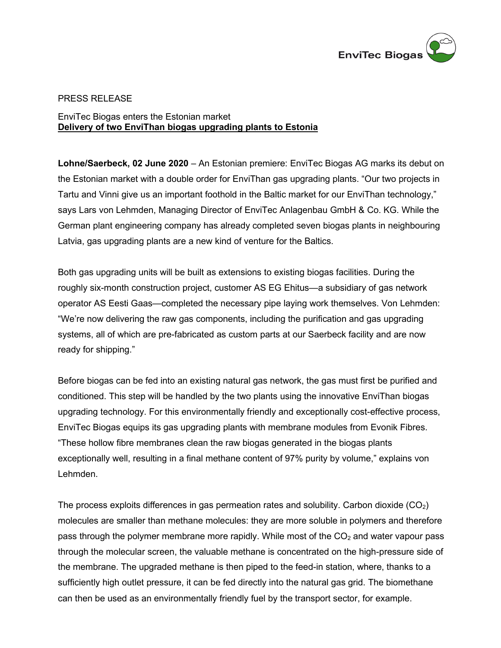

## PRESS RELEASE

## EnviTec Biogas enters the Estonian market **Delivery of two EnviThan biogas upgrading plants to Estonia**

**Lohne/Saerbeck, 02 June 2020** – An Estonian premiere: EnviTec Biogas AG marks its debut on the Estonian market with a double order for EnviThan gas upgrading plants. "Our two projects in Tartu and Vinni give us an important foothold in the Baltic market for our EnviThan technology," says Lars von Lehmden, Managing Director of EnviTec Anlagenbau GmbH & Co. KG. While the German plant engineering company has already completed seven biogas plants in neighbouring Latvia, gas upgrading plants are a new kind of venture for the Baltics.

Both gas upgrading units will be built as extensions to existing biogas facilities. During the roughly six-month construction project, customer AS EG Ehitus—a subsidiary of gas network operator AS Eesti Gaas—completed the necessary pipe laying work themselves. Von Lehmden: "We're now delivering the raw gas components, including the purification and gas upgrading systems, all of which are pre-fabricated as custom parts at our Saerbeck facility and are now ready for shipping."

Before biogas can be fed into an existing natural gas network, the gas must first be purified and conditioned. This step will be handled by the two plants using the innovative EnviThan biogas upgrading technology. For this environmentally friendly and exceptionally cost-effective process, EnviTec Biogas equips its gas upgrading plants with membrane modules from Evonik Fibres. "These hollow fibre membranes clean the raw biogas generated in the biogas plants exceptionally well, resulting in a final methane content of 97% purity by volume," explains von Lehmden.

The process exploits differences in gas permeation rates and solubility. Carbon dioxide  $(CO_2)$ molecules are smaller than methane molecules: they are more soluble in polymers and therefore pass through the polymer membrane more rapidly. While most of the  $CO<sub>2</sub>$  and water vapour pass through the molecular screen, the valuable methane is concentrated on the high-pressure side of the membrane. The upgraded methane is then piped to the feed-in station, where, thanks to a sufficiently high outlet pressure, it can be fed directly into the natural gas grid. The biomethane can then be used as an environmentally friendly fuel by the transport sector, for example.